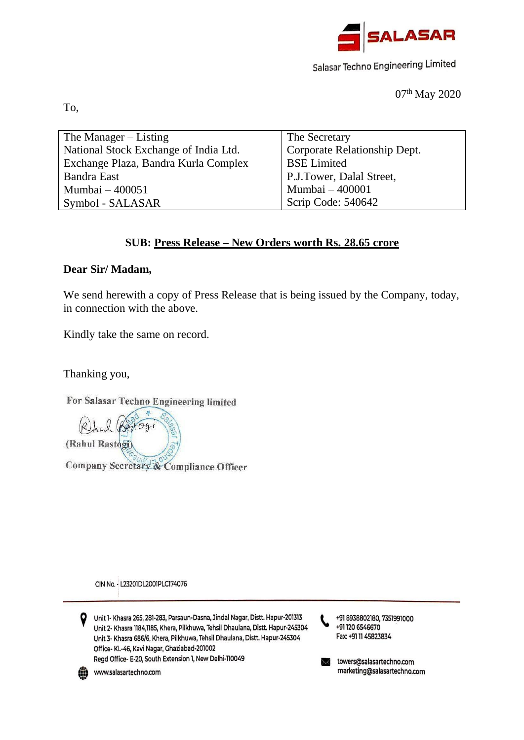

Salasar Techno Engineering Limited

07th May 2020

To,

| The Manager $-$ Listing               | The Secretary                |
|---------------------------------------|------------------------------|
| National Stock Exchange of India Ltd. | Corporate Relationship Dept. |
| Exchange Plaza, Bandra Kurla Complex  | <b>BSE</b> Limited           |
| <b>Bandra East</b>                    | P.J.Tower, Dalal Street,     |
| Mumbai $-400051$                      | Mumbai - 400001              |
| Symbol - SALASAR                      | Scrip Code: 540642           |

# **SUB: Press Release – New Orders worth Rs. 28.65 crore**

### **Dear Sir/ Madam,**

We send herewith a copy of Press Release that is being issued by the Company, today, in connection with the above.

Kindly take the same on record.

Thanking you,

For Salasar Techno Engineering limited

(Rahul Rastogi) Company Secretary & Compliance Officer

CIN No. - L23201DL2001PLC174076

9 Unit 1- Khasra 265, 281-283, Parsaun-Dasna, Jindal Nagar, Distt. Hapur-201313 Unit 2- Khasra 1184,1185, Khera, Pilkhuwa, Tehsil Dhaulana, Distt. Hapur-245304 Unit 3- Khasra 686/6, Khera, Pilkhuwa, Tehsil Dhaulana, Distt. Hapur-245304 Office- KL-46, Kavi Nagar, Ghaziabad-201002 Regd Office- E-20, South Extension 1, New Delhi-110049

+91 8938802180, 7351991000 +91120 6546670 Fax: +91 11 45823834

towers@salasartechno.com  $\vee$ marketing@salasartechno.com



www.salasartechno.com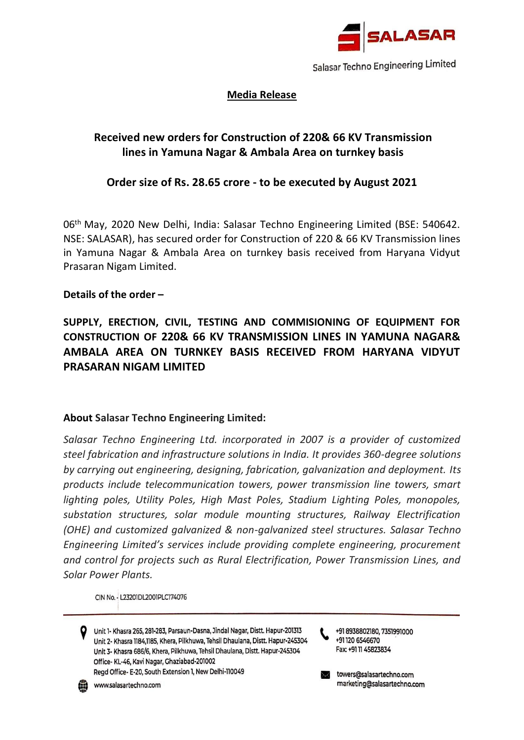

Salasar Techno Engineering Limited

## **Media Release**

# **Received new orders for Construction of 220& 66 KV Transmission lines in Yamuna Nagar & Ambala Area on turnkey basis**

## **Order size of Rs. 28.65 crore - to be executed by August 2021**

06<sup>th</sup> May, 2020 New Delhi, India: Salasar Techno Engineering Limited (BSE: 540642. NSE: SALASAR), has secured order for Construction of 220 & 66 KV Transmission lines in Yamuna Nagar & Ambala Area on turnkey basis received from Haryana Vidyut Prasaran Nigam Limited.

### **Details of the order –**

**SUPPLY, ERECTION, CIVIL, TESTING AND COMMISIONING OF EQUIPMENT FOR CONSTRUCTION OF 220& 66 KV TRANSMISSION LINES IN YAMUNA NAGAR& AMBALA AREA ON TURNKEY BASIS RECEIVED FROM HARYANA VIDYUT PRASARAN NIGAM LIMITED**

### **About Salasar Techno Engineering Limited:**

*Salasar Techno Engineering Ltd. incorporated in 2007 is a provider of customized steel fabrication and infrastructure solutions in India. It provides 360-degree solutions by carrying out engineering, designing, fabrication, galvanization and deployment. Its products include telecommunication towers, power transmission line towers, smart lighting poles, Utility Poles, High Mast Poles, Stadium Lighting Poles, monopoles, substation structures, solar module mounting structures, Railway Electrification (OHE) and customized galvanized & non-galvanized steel structures. Salasar Techno Engineering Limited's services include providing complete engineering, procurement and control for projects such as Rural Electrification, Power Transmission Lines, and Solar Power Plants.*

CIN No. - L23201DL2001PLC174076

Unit 1- Khasra 265, 281-283, Parsaun-Dasna, Jindal Nagar, Distt. Hapur-201313 Unit 2- Khasra 1184,1185, Khera, Pilkhuwa, Tehsil Dhaulana, Distt. Hapur-245304 Unit 3- Khasra 686/6, Khera, Pilkhuwa, Tehsil Dhaulana, Distt. Hapur-245304 Office- KL-46. Kavi Nagar, Ghaziabad-201002 Regd Office- E-20, South Extension 1, New Delhi-110049

+918938802180, 7351991000 +91120 6546670 Fax: +91 11 45823834



towers@salasartechno.com marketing@salasartechno.com